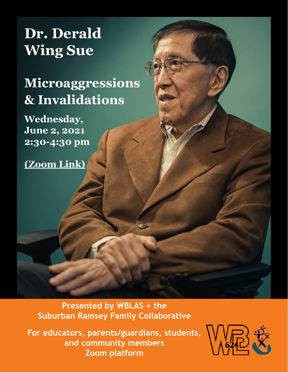# **Dr. Derald Wing Sue**

## **Microaggressions & Invalidations**

**Wednesday, June 2, 2021 2:30-4:30 pm** 

**[\(Zoom Link\)](https://isd623.zoom.us/j/85715009086)**

**Presented by WBLAS + the Suburban Ramsey Family Collaborative**

**For educators, parents/guardians, students, and community members Zoom platform**